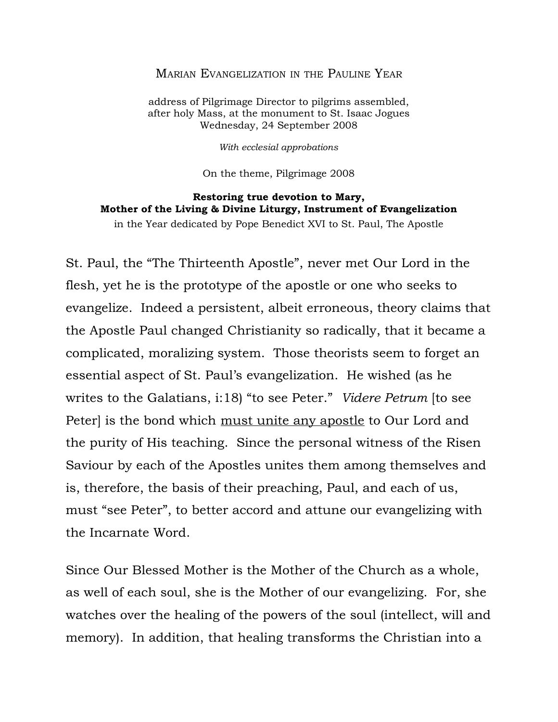## MARIAN EVANGELIZATION IN THE PAULINE YEAR

address of Pilgrimage Director to pilgrims assembled, after holy Mass, at the monument to St. Isaac Jogues Wednesday, 24 September 2008

*With ecclesial approbations*

On the theme, Pilgrimage 2008

## **Restoring true devotion to Mary, Mother of the Living & Divine Liturgy, Instrument of Evangelization**

in the Year dedicated by Pope Benedict XVI to St. Paul, The Apostle

St. Paul, the "The Thirteenth Apostle", never met Our Lord in the flesh, yet he is the prototype of the apostle or one who seeks to evangelize. Indeed a persistent, albeit erroneous, theory claims that the Apostle Paul changed Christianity so radically, that it became a complicated, moralizing system. Those theorists seem to forget an essential aspect of St. Paul's evangelization. He wished (as he writes to the Galatians, i:18) "to see Peter." *Videre Petrum* [to see Peter) is the bond which <u>must unite any apostle</u> to Our Lord and the purity of His teaching. Since the personal witness of the Risen Saviour by each of the Apostles unites them among themselves and is, therefore, the basis of their preaching, Paul, and each of us, must "see Peter", to better accord and attune our evangelizing with the Incarnate Word.

Since Our Blessed Mother is the Mother of the Church as a whole, as well of each soul, she is the Mother of our evangelizing. For, she watches over the healing of the powers of the soul (intellect, will and memory). In addition, that healing transforms the Christian into a